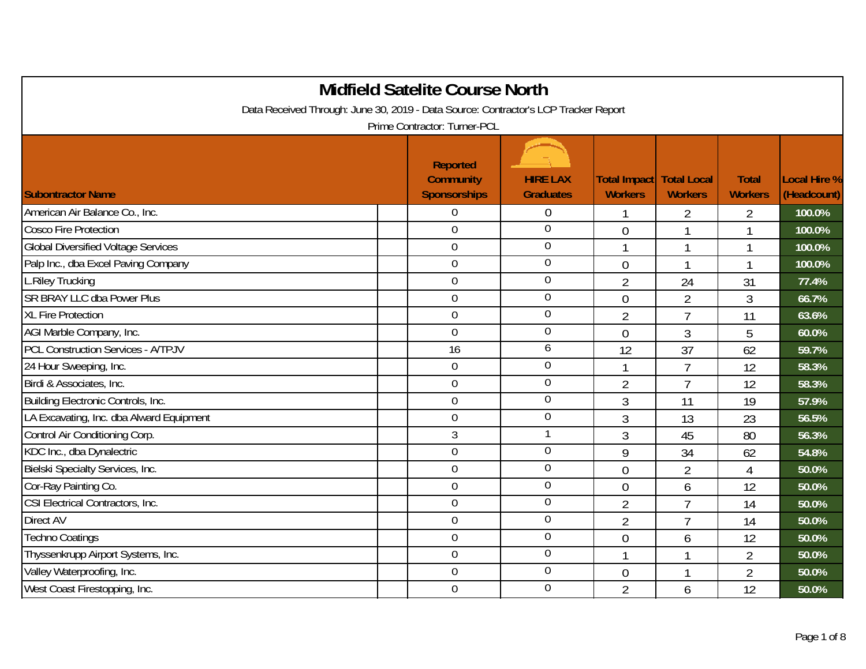|                                                                                     | <b>Midfield Satelite Course North</b>                      |                                     |                                |                                      |                                |                                    |
|-------------------------------------------------------------------------------------|------------------------------------------------------------|-------------------------------------|--------------------------------|--------------------------------------|--------------------------------|------------------------------------|
| Data Received Through: June 30, 2019 - Data Source: Contractor's LCP Tracker Report |                                                            |                                     |                                |                                      |                                |                                    |
|                                                                                     | Prime Contractor: Turner-PCL                               |                                     |                                |                                      |                                |                                    |
| <b>Subontractor Name</b>                                                            | <b>Reported</b><br><b>Community</b><br><b>Sponsorships</b> | <b>HIRE LAX</b><br><b>Graduates</b> | Total Impact<br><b>Workers</b> | <b>Total Local</b><br><b>Workers</b> | <b>Total</b><br><b>Workers</b> | <b>Local Hire %</b><br>(Headcount) |
| American Air Balance Co., Inc.                                                      | $\mathbf 0$                                                | $\theta$                            |                                | 2                                    | $\overline{2}$                 | 100.0%                             |
| Cosco Fire Protection                                                               | $\boldsymbol{0}$                                           | $\mathbf 0$                         | $\overline{0}$                 | $\mathbf{1}$                         | 1                              | 100.0%                             |
| <b>Global Diversified Voltage Services</b>                                          | $\mathbf 0$                                                | $\boldsymbol{0}$                    | $\mathbf{1}$                   | $\mathbf{1}$                         | 1                              | 100.0%                             |
| Palp Inc., dba Excel Paving Company                                                 | $\mathbf 0$                                                | $\overline{0}$                      | $\overline{0}$                 | $\mathbf{1}$                         | 1                              | 100.0%                             |
| L.Riley Trucking                                                                    | $\mathbf 0$                                                | $\mathbf 0$                         | $\overline{2}$                 | 24                                   | 31                             | 77.4%                              |
| SR BRAY LLC dba Power Plus                                                          | $\overline{0}$                                             | $\overline{0}$                      | $\mathbf 0$                    | $\overline{2}$                       | 3                              | 66.7%                              |
| <b>XL Fire Protection</b>                                                           | $\mathbf 0$                                                | $\boldsymbol{0}$                    | $\overline{2}$                 | $\overline{7}$                       | 11                             | 63.6%                              |
| AGI Marble Company, Inc.                                                            | $\overline{0}$                                             | $\overline{0}$                      | $\theta$                       | 3                                    | 5                              | 60.0%                              |
| <b>PCL Construction Services - A/TPJV</b>                                           | 16                                                         | 6                                   | 12                             | 37                                   | 62                             | 59.7%                              |
| 24 Hour Sweeping, Inc.                                                              | $\overline{0}$                                             | $\mathbf 0$                         | $\overline{1}$                 | $\overline{7}$                       | 12                             | 58.3%                              |
| Birdi & Associates, Inc.                                                            | $\boldsymbol{0}$                                           | $\mathbf 0$                         | $\overline{2}$                 | $\overline{7}$                       | 12                             | 58.3%                              |
| Building Electronic Controls, Inc.                                                  | $\boldsymbol{0}$                                           | $\boldsymbol{0}$                    | 3                              | 11                                   | 19                             | 57.9%                              |
| LA Excavating, Inc. dba Alward Equipment                                            | $\mathbf 0$                                                | $\overline{0}$                      | 3                              | 13                                   | 23                             | 56.5%                              |
| Control Air Conditioning Corp.                                                      | 3                                                          |                                     | 3                              | 45                                   | 80                             | 56.3%                              |
| KDC Inc., dba Dynalectric                                                           | $\mathbf 0$                                                | $\mathbf 0$                         | 9                              | 34                                   | 62                             | 54.8%                              |
| Bielski Specialty Services, Inc.                                                    | $\boldsymbol{0}$                                           | $\mathbf 0$                         | $\mathbf 0$                    | $\overline{2}$                       | 4                              | 50.0%                              |
| Cor-Ray Painting Co.                                                                | $\overline{0}$                                             | $\mathbf 0$                         | $\overline{0}$                 | 6                                    | 12                             | 50.0%                              |
| CSI Electrical Contractors, Inc.                                                    | $\mathbf 0$                                                | $\mathbf 0$                         | $\overline{2}$                 | $\overline{7}$                       | 14                             | 50.0%                              |
| Direct AV                                                                           | $\mathbf 0$                                                | $\mathbf 0$                         | $\overline{2}$                 | $\overline{7}$                       | 14                             | 50.0%                              |
| <b>Techno Coatings</b>                                                              | $\overline{0}$                                             | $\boldsymbol{0}$                    | $\mathbf 0$                    | 6                                    | 12                             | 50.0%                              |
| Thyssenkrupp Airport Systems, Inc.                                                  | $\mathbf 0$                                                | $\mathbf 0$                         | $\mathbf 1$                    | $\mathbf{1}$                         | $\overline{2}$                 | 50.0%                              |
| Valley Waterproofing, Inc.                                                          | $\boldsymbol{0}$                                           | $\mathbf 0$                         | $\theta$                       | $\mathbf{1}$                         | 2                              | 50.0%                              |
| West Coast Firestopping, Inc.                                                       | $\mathbf 0$                                                | $\mathbf 0$                         | $\overline{2}$                 | 6                                    | 12                             | 50.0%                              |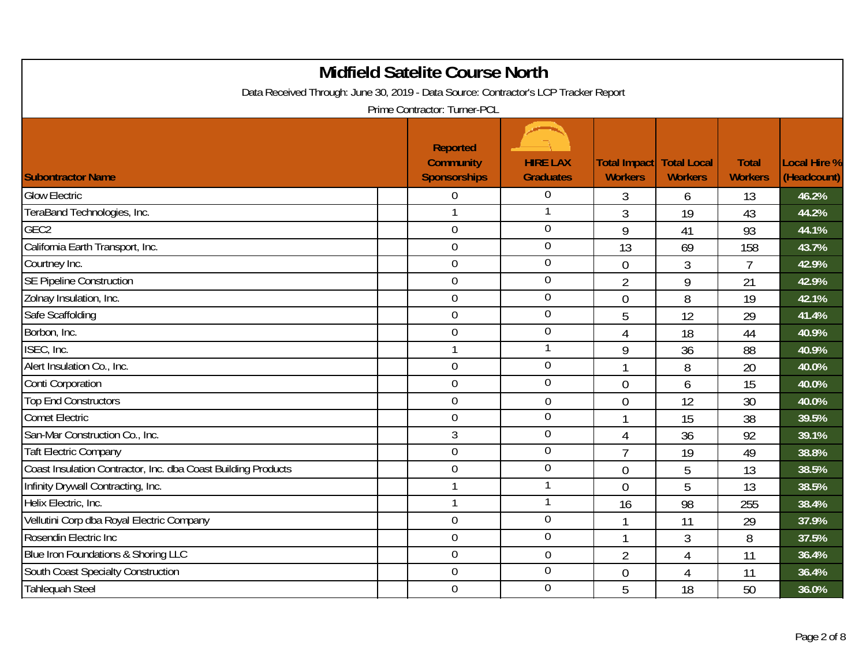| <b>Midfield Satelite Course North</b><br>Data Received Through: June 30, 2019 - Data Source: Contractor's LCP Tracker Report<br>Prime Contractor: Turner-PCL |                                                            |                                     |                                |                                      |                                |                             |  |  |  |
|--------------------------------------------------------------------------------------------------------------------------------------------------------------|------------------------------------------------------------|-------------------------------------|--------------------------------|--------------------------------------|--------------------------------|-----------------------------|--|--|--|
| <b>Subontractor Name</b>                                                                                                                                     | <b>Reported</b><br><b>Community</b><br><b>Sponsorships</b> | <b>HIRE LAX</b><br><b>Graduates</b> | Total Impact<br><b>Workers</b> | <b>Total Local</b><br><b>Workers</b> | <b>Total</b><br><b>Workers</b> | Local Hire %<br>(Headcount) |  |  |  |
| <b>Glow Electric</b>                                                                                                                                         | $\mathbf 0$                                                | 0                                   | 3                              | 6                                    | 13                             | 46.2%                       |  |  |  |
| TeraBand Technologies, Inc.                                                                                                                                  | $\mathbf{1}$                                               | 1                                   | 3                              | 19                                   | 43                             | 44.2%                       |  |  |  |
| GEC <sub>2</sub>                                                                                                                                             | $\mathbf 0$                                                | $\mathbf 0$                         | 9                              | 41                                   | 93                             | 44.1%                       |  |  |  |
| California Earth Transport, Inc.                                                                                                                             | $\theta$                                                   | $\boldsymbol{0}$                    | 13                             | 69                                   | 158                            | 43.7%                       |  |  |  |
| Courtney Inc.                                                                                                                                                | $\mathbf 0$                                                | $\overline{0}$                      | $\overline{0}$                 | 3                                    | $\overline{7}$                 | 42.9%                       |  |  |  |
| <b>SE Pipeline Construction</b>                                                                                                                              | $\mathbf 0$                                                | $\overline{0}$                      | $\overline{2}$                 | 9                                    | 21                             | 42.9%                       |  |  |  |
| Zolnay Insulation, Inc.                                                                                                                                      | $\overline{0}$                                             | $\boldsymbol{0}$                    | $\overline{0}$                 | 8                                    | 19                             | 42.1%                       |  |  |  |
| Safe Scaffolding                                                                                                                                             | $\mathbf 0$                                                | $\overline{0}$                      | 5                              | 12                                   | 29                             | 41.4%                       |  |  |  |
| Borbon, Inc.                                                                                                                                                 | $\mathbf 0$                                                | $\overline{0}$                      | 4                              | 18                                   | 44                             | 40.9%                       |  |  |  |
| ISEC, Inc.                                                                                                                                                   | $\mathbf{1}$                                               | 1                                   | 9                              | 36                                   | 88                             | 40.9%                       |  |  |  |
| Alert Insulation Co., Inc.                                                                                                                                   | $\mathbf 0$                                                | $\overline{0}$                      | $\mathbf{1}$                   | 8                                    | 20                             | 40.0%                       |  |  |  |
| <b>Conti Corporation</b>                                                                                                                                     | $\overline{0}$                                             | $\overline{0}$                      | $\theta$                       | 6                                    | 15                             | 40.0%                       |  |  |  |
| <b>Top End Constructors</b>                                                                                                                                  | $\overline{0}$                                             | $\mathbf 0$                         | $\overline{0}$                 | 12                                   | 30                             | 40.0%                       |  |  |  |
| <b>Comet Electric</b>                                                                                                                                        | $\theta$                                                   | $\mathbf 0$                         | $\mathbf{1}$                   | 15                                   | 38                             | 39.5%                       |  |  |  |
| San-Mar Construction Co., Inc.                                                                                                                               | 3                                                          | $\mathbf 0$                         | 4                              | 36                                   | 92                             | 39.1%                       |  |  |  |
| <b>Taft Electric Company</b>                                                                                                                                 | $\mathbf 0$                                                | $\mathbf 0$                         | $\overline{7}$                 | 19                                   | 49                             | 38.8%                       |  |  |  |
| Coast Insulation Contractor, Inc. dba Coast Building Products                                                                                                | $\theta$                                                   | $\mathbf 0$                         | $\overline{0}$                 | 5                                    | 13                             | 38.5%                       |  |  |  |
| Infinity Drywall Contracting, Inc.                                                                                                                           | $\mathbf{1}$                                               |                                     | $\theta$                       | 5                                    | 13                             | 38.5%                       |  |  |  |
| Helix Electric, Inc.                                                                                                                                         | $\mathbf{1}$                                               | 1                                   | 16                             | 98                                   | 255                            | 38.4%                       |  |  |  |
| Vellutini Corp dba Royal Electric Company                                                                                                                    | $\mathbf 0$                                                | $\mathbf 0$                         | $\mathbf{1}$                   | 11                                   | 29                             | 37.9%                       |  |  |  |
| Rosendin Electric Inc                                                                                                                                        | $\mathbf 0$                                                | $\mathbf 0$                         | $\mathbf{1}$                   | 3                                    | 8                              | 37.5%                       |  |  |  |
| Blue Iron Foundations & Shoring LLC                                                                                                                          | $\mathbf 0$                                                | $\mathbf 0$                         | $\overline{2}$                 | $\overline{4}$                       | 11                             | 36.4%                       |  |  |  |
| South Coast Specialty Construction                                                                                                                           | $\theta$                                                   | $\mathbf 0$                         | $\overline{0}$                 | $\overline{4}$                       | 11                             | 36.4%                       |  |  |  |
| <b>Tahlequah Steel</b>                                                                                                                                       | $\overline{0}$                                             | $\mathbf 0$                         | 5                              | 18                                   | 50                             | 36.0%                       |  |  |  |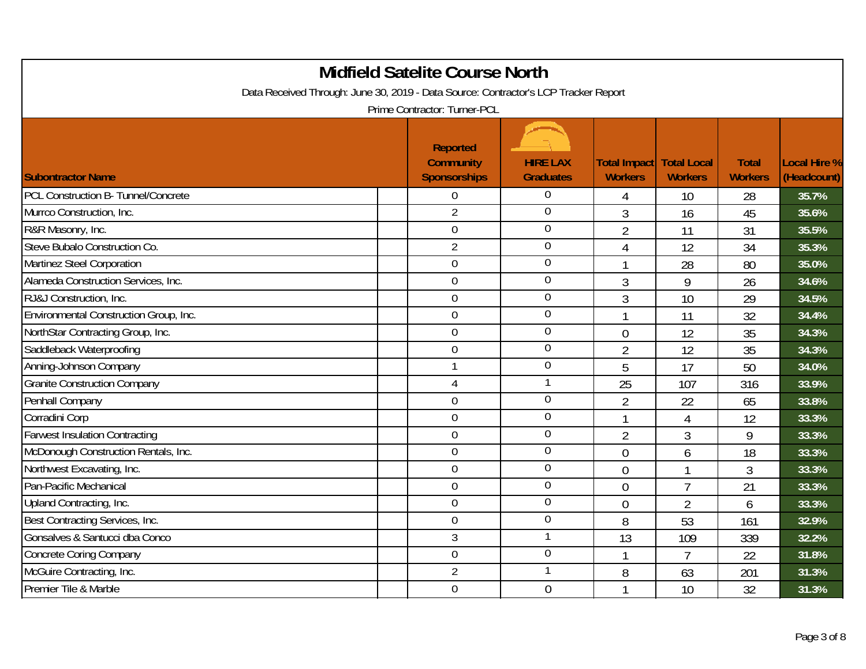| <b>Midfield Satelite Course North</b><br>Data Received Through: June 30, 2019 - Data Source: Contractor's LCP Tracker Report<br>Prime Contractor: Turner-PCL |                                                            |                                     |                                       |                                      |                                |                             |  |  |  |
|--------------------------------------------------------------------------------------------------------------------------------------------------------------|------------------------------------------------------------|-------------------------------------|---------------------------------------|--------------------------------------|--------------------------------|-----------------------------|--|--|--|
| <b>Subontractor Name</b>                                                                                                                                     | <b>Reported</b><br><b>Community</b><br><b>Sponsorships</b> | <b>HIRE LAX</b><br><b>Graduates</b> | <b>Total Impact</b><br><b>Workers</b> | <b>Total Local</b><br><b>Workers</b> | <b>Total</b><br><b>Workers</b> | Local Hire %<br>(Headcount) |  |  |  |
| PCL Construction B- Tunnel/Concrete                                                                                                                          | $\overline{0}$                                             | 0                                   | 4                                     | 10                                   | 28                             | 35.7%                       |  |  |  |
| Murrco Construction, Inc.                                                                                                                                    | $\overline{2}$                                             | $\overline{0}$                      | 3                                     | 16                                   | 45                             | 35.6%                       |  |  |  |
| R&R Masonry, Inc.                                                                                                                                            | $\mathbf 0$                                                | $\boldsymbol{0}$                    | $\overline{2}$                        | 11                                   | 31                             | 35.5%                       |  |  |  |
| Steve Bubalo Construction Co.                                                                                                                                | $\overline{2}$                                             | $\boldsymbol{0}$                    | $\overline{4}$                        | 12                                   | 34                             | 35.3%                       |  |  |  |
| Martinez Steel Corporation                                                                                                                                   | $\mathbf 0$                                                | $\overline{0}$                      |                                       | 28                                   | 80                             | 35.0%                       |  |  |  |
| Alameda Construction Services, Inc.                                                                                                                          | $\mathbf 0$                                                | $\overline{0}$                      | $\mathfrak{Z}$                        | 9                                    | 26                             | 34.6%                       |  |  |  |
| RJ&J Construction, Inc.                                                                                                                                      | $\overline{0}$                                             | $\mathbf 0$                         | $\mathfrak{Z}$                        | 10                                   | 29                             | 34.5%                       |  |  |  |
| Environmental Construction Group, Inc.                                                                                                                       | $\mathbf 0$                                                | $\overline{0}$                      | $\mathbf{1}$                          | 11                                   | 32                             | 34.4%                       |  |  |  |
| NorthStar Contracting Group, Inc.                                                                                                                            | $\mathbf 0$                                                | $\boldsymbol{0}$                    | $\theta$                              | 12                                   | 35                             | 34.3%                       |  |  |  |
| Saddleback Waterproofing                                                                                                                                     | $\mathbf 0$                                                | $\mathbf 0$                         | $\overline{2}$                        | 12                                   | 35                             | 34.3%                       |  |  |  |
| Anning-Johnson Company                                                                                                                                       | $\mathbf 1$                                                | $\mathbf 0$                         | 5                                     | 17                                   | 50                             | 34.0%                       |  |  |  |
| <b>Granite Construction Company</b>                                                                                                                          | $\overline{4}$                                             |                                     | 25                                    | 107                                  | 316                            | 33.9%                       |  |  |  |
| Penhall Company                                                                                                                                              | $\mathbf 0$                                                | $\mathbf 0$                         | $\overline{2}$                        | 22                                   | 65                             | 33.8%                       |  |  |  |
| Corradini Corp                                                                                                                                               | $\overline{0}$                                             | $\mathbf 0$                         | 1                                     | 4                                    | 12                             | 33.3%                       |  |  |  |
| <b>Farwest Insulation Contracting</b>                                                                                                                        | $\mathbf 0$                                                | $\mathbf 0$                         | $\overline{2}$                        | 3                                    | 9                              | 33.3%                       |  |  |  |
| McDonough Construction Rentals, Inc.                                                                                                                         | $\mathbf 0$                                                | $\mathbf 0$                         | $\overline{0}$                        | 6                                    | 18                             | 33.3%                       |  |  |  |
| Northwest Excavating, Inc.                                                                                                                                   | $\overline{0}$                                             | $\overline{0}$                      | $\overline{0}$                        | 1                                    | 3                              | 33.3%                       |  |  |  |
| Pan-Pacific Mechanical                                                                                                                                       | $\overline{0}$                                             | $\mathbf 0$                         | $\overline{0}$                        | $\overline{1}$                       | 21                             | 33.3%                       |  |  |  |
| Upland Contracting, Inc.                                                                                                                                     | $\overline{0}$                                             | $\overline{0}$                      | $\overline{0}$                        | $\overline{2}$                       | 6                              | 33.3%                       |  |  |  |
| Best Contracting Services, Inc.                                                                                                                              | $\overline{0}$                                             | $\overline{0}$                      | 8                                     | 53                                   | 161                            | 32.9%                       |  |  |  |
| Gonsalves & Santucci dba Conco                                                                                                                               | 3                                                          |                                     | 13                                    | 109                                  | 339                            | 32.2%                       |  |  |  |
| <b>Concrete Coring Company</b>                                                                                                                               | $\mathbf 0$                                                | $\boldsymbol{0}$                    |                                       | $\overline{7}$                       | 22                             | 31.8%                       |  |  |  |
| McGuire Contracting, Inc.                                                                                                                                    | $\overline{2}$                                             | 1                                   | 8                                     | 63                                   | 201                            | 31.3%                       |  |  |  |
| Premier Tile & Marble                                                                                                                                        | $\mathbf 0$                                                | $\mathbf{0}$                        |                                       | 10                                   | 32                             | 31.3%                       |  |  |  |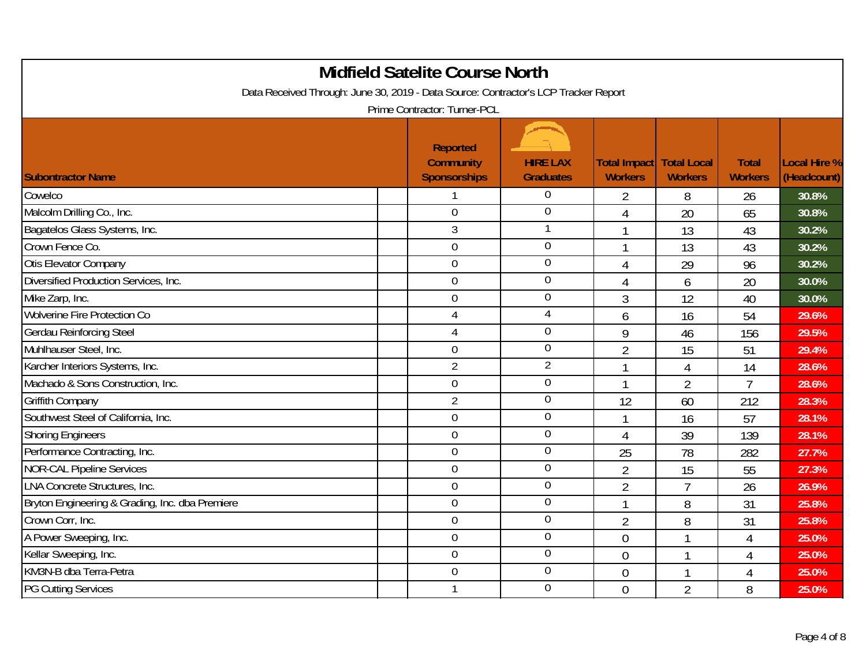| <b>Midfield Satelite Course North</b><br>Data Received Through: June 30, 2019 - Data Source: Contractor's LCP Tracker Report<br>Prime Contractor: Turner-PCL |  |                                                            |                                     |                                                   |                |                                |                             |  |
|--------------------------------------------------------------------------------------------------------------------------------------------------------------|--|------------------------------------------------------------|-------------------------------------|---------------------------------------------------|----------------|--------------------------------|-----------------------------|--|
| <b>Subontractor Name</b>                                                                                                                                     |  | <b>Reported</b><br><b>Community</b><br><b>Sponsorships</b> | <b>HIRE LAX</b><br><b>Graduates</b> | <b>Total Impact Total Local</b><br><b>Workers</b> | <b>Workers</b> | <b>Total</b><br><b>Workers</b> | Local Hire %<br>(Headcount) |  |
| Cowelco                                                                                                                                                      |  | 1                                                          | $\overline{0}$                      | $\overline{2}$                                    | 8              | 26                             | 30.8%                       |  |
| Malcolm Drilling Co., Inc.                                                                                                                                   |  | $\overline{0}$                                             | $\overline{0}$                      | 4                                                 | 20             | 65                             | 30.8%                       |  |
| Bagatelos Glass Systems, Inc.                                                                                                                                |  | 3                                                          |                                     | $\mathbf 1$                                       | 13             | 43                             | 30.2%                       |  |
| Crown Fence Co.                                                                                                                                              |  | $\overline{0}$                                             | $\overline{0}$                      | $\mathbf{1}$                                      | 13             | 43                             | 30.2%                       |  |
| Otis Elevator Company                                                                                                                                        |  | $\mathbf 0$                                                | $\overline{0}$                      | $\overline{4}$                                    | 29             | 96                             | 30.2%                       |  |
| Diversified Production Services, Inc.                                                                                                                        |  | $\overline{0}$                                             | $\theta$                            | $\overline{4}$                                    | 6              | 20                             | 30.0%                       |  |
| Mike Zarp, Inc.                                                                                                                                              |  | $\overline{0}$                                             | $\mathbf 0$                         | 3                                                 | 12             | 40                             | 30.0%                       |  |
| <b>Wolverine Fire Protection Co</b>                                                                                                                          |  | 4                                                          | $\overline{4}$                      | 6                                                 | 16             | 54                             | 29.6%                       |  |
| <b>Gerdau Reinforcing Steel</b>                                                                                                                              |  | 4                                                          | $\overline{0}$                      | 9                                                 | 46             | 156                            | 29.5%                       |  |
| Muhlhauser Steel, Inc.                                                                                                                                       |  | $\mathbf 0$                                                | $\mathbf 0$                         | $\overline{2}$                                    | 15             | 51                             | 29.4%                       |  |
| Karcher Interiors Systems, Inc.                                                                                                                              |  | $\overline{2}$                                             | $\overline{2}$                      | $\overline{1}$                                    | 4              | 14                             | 28.6%                       |  |
| Machado & Sons Construction, Inc.                                                                                                                            |  | $\overline{0}$                                             | $\mathbf 0$                         | $\mathbf{1}$                                      | $\overline{2}$ | $\overline{7}$                 | 28.6%                       |  |
| <b>Griffith Company</b>                                                                                                                                      |  | $\overline{2}$                                             | $\mathbf 0$                         | 12                                                | 60             | 212                            | 28.3%                       |  |
| Southwest Steel of California, Inc.                                                                                                                          |  | $\mathbf 0$                                                | $\boldsymbol{0}$                    | $\overline{1}$                                    | 16             | 57                             | 28.1%                       |  |
| <b>Shoring Engineers</b>                                                                                                                                     |  | $\boldsymbol{0}$                                           | $\mathbf 0$                         | $\overline{4}$                                    | 39             | 139                            | 28.1%                       |  |
| Performance Contracting, Inc.                                                                                                                                |  | $\mathbf 0$                                                | $\overline{0}$                      | 25                                                | 78             | 282                            | 27.7%                       |  |
| <b>NOR-CAL Pipeline Services</b>                                                                                                                             |  | $\mathbf 0$                                                | $\theta$                            | $\overline{2}$                                    | 15             | 55                             | 27.3%                       |  |
| <b>LNA Concrete Structures, Inc.</b>                                                                                                                         |  | $\mathbf 0$                                                | $\overline{0}$                      | $\overline{2}$                                    | $\overline{7}$ | 26                             | 26.9%                       |  |
| Bryton Engineering & Grading, Inc. dba Premiere                                                                                                              |  | $\mathbf 0$                                                | $\boldsymbol{0}$                    | $\mathbf{1}$                                      | 8              | 31                             | 25.8%                       |  |
| Crown Corr, Inc.                                                                                                                                             |  | $\mathbf 0$                                                | $\boldsymbol{0}$                    | $\overline{2}$                                    | 8              | 31                             | 25.8%                       |  |
| A Power Sweeping, Inc.                                                                                                                                       |  | $\boldsymbol{0}$                                           | $\mathbf 0$                         | $\overline{0}$                                    | $\mathbf{1}$   | 4                              | 25.0%                       |  |
| Kellar Sweeping, Inc.                                                                                                                                        |  | $\overline{0}$                                             | $\overline{0}$                      | $\theta$                                          | 1              | 4                              | 25.0%                       |  |
| KM3N-B dba Terra-Petra                                                                                                                                       |  | $\overline{0}$                                             | $\theta$                            | $\overline{0}$                                    | $\mathbf{1}$   | 4                              | 25.0%                       |  |
| <b>PG Cutting Services</b>                                                                                                                                   |  | $\mathbf{1}$                                               | $\overline{0}$                      | $\mathbf 0$                                       | $\overline{2}$ | 8                              | 25.0%                       |  |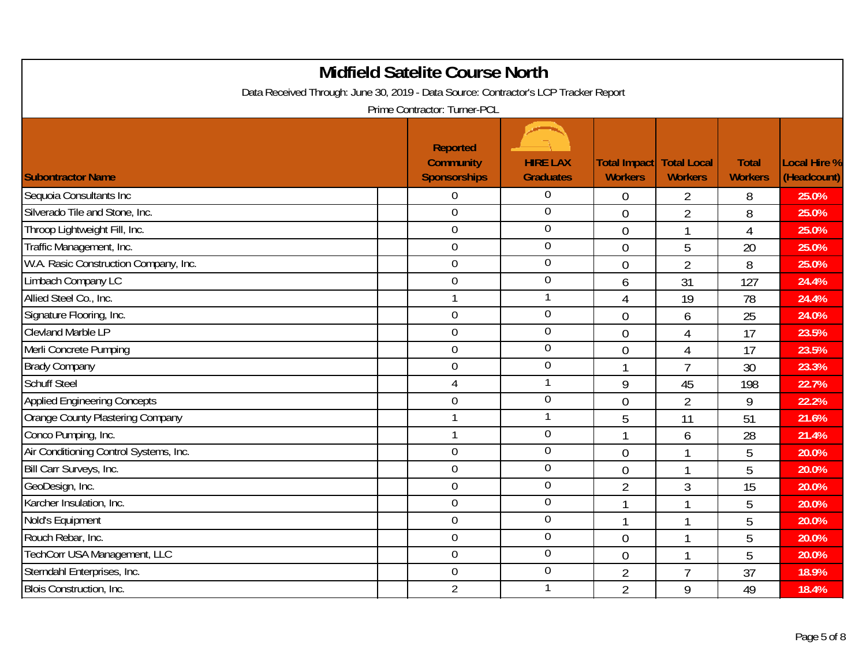| <b>Midfield Satelite Course North</b><br>Data Received Through: June 30, 2019 - Data Source: Contractor's LCP Tracker Report<br>Prime Contractor: Turner-PCL |                                                            |                                     |                                                   |                  |                                |                             |  |  |  |
|--------------------------------------------------------------------------------------------------------------------------------------------------------------|------------------------------------------------------------|-------------------------------------|---------------------------------------------------|------------------|--------------------------------|-----------------------------|--|--|--|
| <b>Subontractor Name</b>                                                                                                                                     | <b>Reported</b><br><b>Community</b><br><b>Sponsorships</b> | <b>HIRE LAX</b><br><b>Graduates</b> | <b>Total Impact Total Local</b><br><b>Workers</b> | <b>Workers</b>   | <b>Total</b><br><b>Workers</b> | Local Hire %<br>(Headcount) |  |  |  |
| Sequoia Consultants Inc                                                                                                                                      | $\overline{0}$                                             | $\theta$                            | $\overline{0}$                                    | $\overline{2}$   | 8                              | 25.0%                       |  |  |  |
| Silverado Tile and Stone, Inc.                                                                                                                               | $\mathbf 0$                                                | $\overline{0}$                      | $\overline{0}$                                    | $\overline{2}$   | 8                              | 25.0%                       |  |  |  |
| Throop Lightweight Fill, Inc.                                                                                                                                | $\mathbf 0$                                                | $\boldsymbol{0}$                    | $\overline{0}$                                    | 1                | 4                              | 25.0%                       |  |  |  |
| Traffic Management, Inc.                                                                                                                                     | $\overline{0}$                                             | $\mathbf 0$                         | $\overline{0}$                                    | 5                | 20                             | 25.0%                       |  |  |  |
| W.A. Rasic Construction Company, Inc.                                                                                                                        | $\mathbf 0$                                                | $\overline{0}$                      | $\overline{0}$                                    | $\overline{2}$   | 8                              | 25.0%                       |  |  |  |
| Limbach Company LC                                                                                                                                           | $\mathbf 0$                                                | $\overline{0}$                      | 6                                                 | 31               | 127                            | 24.4%                       |  |  |  |
| Allied Steel Co., Inc.                                                                                                                                       | $\mathbf{1}$                                               | 1                                   | 4                                                 | 19               | 78                             | 24.4%                       |  |  |  |
| Signature Flooring, Inc.                                                                                                                                     | $\mathbf 0$                                                | $\overline{0}$                      | $\overline{0}$                                    | 6                | 25                             | 24.0%                       |  |  |  |
| <b>Clevland Marble LP</b>                                                                                                                                    | $\overline{0}$                                             | $\boldsymbol{0}$                    | $\theta$                                          | $\overline{4}$   | 17                             | 23.5%                       |  |  |  |
| Merli Concrete Pumping                                                                                                                                       | $\mathbf 0$                                                | $\mathbf 0$                         | $\overline{0}$                                    | 4                | 17                             | 23.5%                       |  |  |  |
| <b>Brady Company</b>                                                                                                                                         | $\mathbf 0$                                                | $\mathbf 0$                         | $\mathbf{1}$                                      | $\overline{7}$   | 30                             | 23.3%                       |  |  |  |
| <b>Schuff Steel</b>                                                                                                                                          | $\overline{4}$                                             |                                     | 9                                                 | 45               | 198                            | 22.7%                       |  |  |  |
| <b>Applied Engineering Concepts</b>                                                                                                                          | $\mathbf 0$                                                | $\mathbf 0$                         | $\overline{0}$                                    | $\overline{2}$   | 9                              | 22.2%                       |  |  |  |
| Orange County Plastering Company                                                                                                                             | $\mathbf{1}$                                               |                                     | 5                                                 | 11               | 51                             | 21.6%                       |  |  |  |
| Conco Pumping, Inc.                                                                                                                                          | $\mathbf{1}$                                               | $\mathbf 0$                         | $\mathbf{1}$                                      | $\boldsymbol{6}$ | 28                             | 21.4%                       |  |  |  |
| Air Conditioning Control Systems, Inc.                                                                                                                       | $\mathbf 0$                                                | $\mathbf 0$                         | $\overline{0}$                                    | $\mathbf{1}$     | 5                              | 20.0%                       |  |  |  |
| Bill Carr Surveys, Inc.                                                                                                                                      | $\mathbf 0$                                                | $\theta$                            | $\overline{0}$                                    | $\mathbf{1}$     | 5                              | 20.0%                       |  |  |  |
| GeoDesign, Inc.                                                                                                                                              | $\overline{0}$                                             | $\mathbf 0$                         | $\overline{2}$                                    | 3                | 15                             | 20.0%                       |  |  |  |
| Karcher Insulation, Inc.                                                                                                                                     | $\overline{0}$                                             | $\overline{0}$                      | $\mathbf{1}$                                      | $\mathbf{1}$     | 5                              | 20.0%                       |  |  |  |
| Nold's Equipment                                                                                                                                             | $\overline{0}$                                             | $\overline{0}$                      | $\mathbf{1}$                                      | 1                | 5                              | 20.0%                       |  |  |  |
| Rouch Rebar, Inc.                                                                                                                                            | $\overline{0}$                                             | $\mathbf 0$                         | $\overline{0}$                                    | $\mathbf{1}$     | 5                              | 20.0%                       |  |  |  |
| TechCorr USA Management, LLC                                                                                                                                 | $\overline{0}$                                             | $\boldsymbol{0}$                    | $\theta$                                          | $\mathbf{1}$     | 5                              | 20.0%                       |  |  |  |
| Sterndahl Enterprises, Inc.                                                                                                                                  | $\mathbf 0$                                                | $\theta$                            | $\overline{2}$                                    | $\overline{7}$   | 37                             | 18.9%                       |  |  |  |
| Blois Construction, Inc.                                                                                                                                     | $\overline{2}$                                             |                                     | $\overline{2}$                                    | 9                | 49                             | 18.4%                       |  |  |  |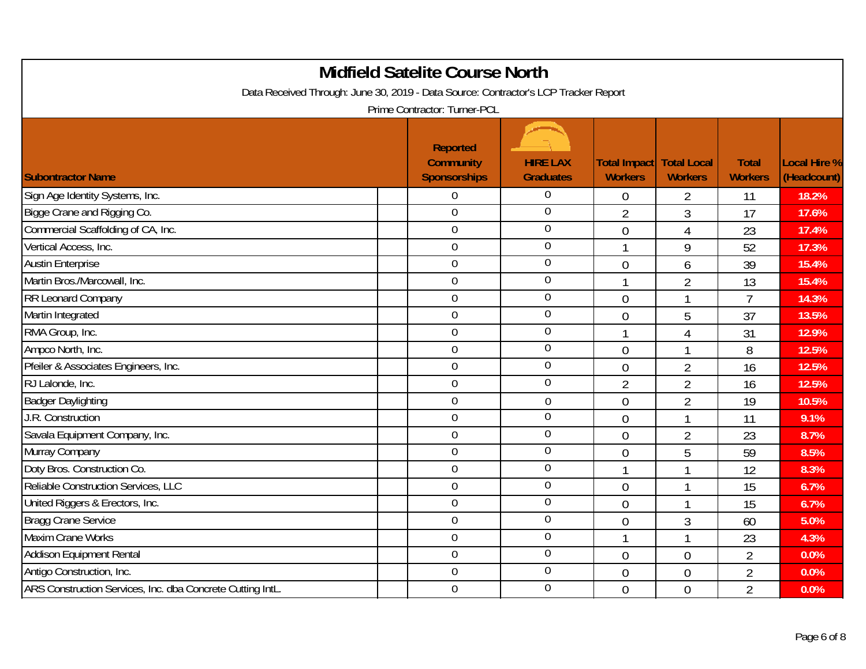| <b>Midfield Satelite Course North</b><br>Data Received Through: June 30, 2019 - Data Source: Contractor's LCP Tracker Report<br>Prime Contractor: Turner-PCL |  |                                                     |                                     |                                |                                      |                                |                                    |  |  |
|--------------------------------------------------------------------------------------------------------------------------------------------------------------|--|-----------------------------------------------------|-------------------------------------|--------------------------------|--------------------------------------|--------------------------------|------------------------------------|--|--|
| <b>Subontractor Name</b>                                                                                                                                     |  | Reported<br><b>Community</b><br><b>Sponsorships</b> | <b>HIRE LAX</b><br><b>Graduates</b> | Total Impact<br><b>Workers</b> | <b>Total Local</b><br><b>Workers</b> | <b>Total</b><br><b>Workers</b> | <b>Local Hire %</b><br>(Headcount) |  |  |
| Sign Age Identity Systems, Inc.                                                                                                                              |  | $\mathbf 0$                                         | $\overline{0}$                      | $\overline{0}$                 | $\overline{2}$                       | 11                             | 18.2%                              |  |  |
| Bigge Crane and Rigging Co.                                                                                                                                  |  | $\overline{0}$                                      | $\overline{0}$                      | $\overline{2}$                 | 3                                    | 17                             | 17.6%                              |  |  |
| Commercial Scaffolding of CA, Inc.                                                                                                                           |  | $\boldsymbol{0}$                                    | $\mathbf 0$                         | $\mathbf 0$                    | 4                                    | 23                             | 17.4%                              |  |  |
| Vertical Access, Inc.                                                                                                                                        |  | $\mathbf 0$                                         | $\overline{0}$                      | $\mathbf{1}$                   | 9                                    | 52                             | 17.3%                              |  |  |
| <b>Austin Enterprise</b>                                                                                                                                     |  | $\overline{0}$                                      | $\overline{0}$                      | $\overline{0}$                 | 6                                    | 39                             | 15.4%                              |  |  |
| Martin Bros./Marcowall, Inc.                                                                                                                                 |  | $\mathbf 0$                                         | $\mathbf 0$                         | $\mathbf{1}$                   | $\overline{2}$                       | 13                             | 15.4%                              |  |  |
| <b>RR Leonard Company</b>                                                                                                                                    |  | $\overline{0}$                                      | $\mathbf 0$                         | $\overline{0}$                 | $\mathbf{1}$                         | $\overline{7}$                 | 14.3%                              |  |  |
| Martin Integrated                                                                                                                                            |  | $\mathbf 0$                                         | $\overline{0}$                      | $\overline{0}$                 | 5                                    | 37                             | 13.5%                              |  |  |
| RMA Group, Inc.                                                                                                                                              |  | $\mathbf 0$                                         | $\theta$                            | 1                              | $\overline{4}$                       | 31                             | 12.9%                              |  |  |
| Ampco North, Inc.                                                                                                                                            |  | $\overline{0}$                                      | $\mathbf 0$                         | $\overline{0}$                 | $\mathbf{1}$                         | 8                              | 12.5%                              |  |  |
| Pfeiler & Associates Engineers, Inc.                                                                                                                         |  | $\mathbf 0$                                         | $\overline{0}$                      | $\overline{0}$                 | $\overline{2}$                       | 16                             | 12.5%                              |  |  |
| RJ Lalonde, Inc.                                                                                                                                             |  | $\mathbf 0$                                         | $\overline{0}$                      | $\overline{2}$                 | $\overline{2}$                       | 16                             | 12.5%                              |  |  |
| <b>Badger Daylighting</b>                                                                                                                                    |  | $\overline{0}$                                      | $\overline{0}$                      | $\overline{0}$                 | $\overline{2}$                       | 19                             | 10.5%                              |  |  |
| J.R. Construction                                                                                                                                            |  | $\boldsymbol{0}$                                    | $\mathbf 0$                         | $\theta$                       | $\mathbf{1}$                         | 11                             | 9.1%                               |  |  |
| Savala Equipment Company, Inc.                                                                                                                               |  | $\boldsymbol{0}$                                    | $\mathbf 0$                         | $\overline{0}$                 | $\overline{2}$                       | 23                             | 8.7%                               |  |  |
| Murray Company                                                                                                                                               |  | $\mathbf 0$                                         | $\overline{0}$                      | $\overline{0}$                 | 5                                    | 59                             | 8.5%                               |  |  |
| Doty Bros. Construction Co.                                                                                                                                  |  | $\mathbf 0$                                         | $\mathbf 0$                         | $\mathbf{1}$                   | $\mathbf{1}$                         | 12                             | 8.3%                               |  |  |
| Reliable Construction Services, LLC                                                                                                                          |  | $\mathbf 0$                                         | $\boldsymbol{0}$                    | $\overline{0}$                 | $\mathbf{1}$                         | 15                             | 6.7%                               |  |  |
| United Riggers & Erectors, Inc.                                                                                                                              |  | $\overline{0}$                                      | $\overline{0}$                      | $\overline{0}$                 | $\mathbf{1}$                         | 15                             | 6.7%                               |  |  |
| <b>Bragg Crane Service</b>                                                                                                                                   |  | $\boldsymbol{0}$                                    | $\overline{0}$                      | $\overline{0}$                 | $\mathfrak{Z}$                       | 60                             | 5.0%                               |  |  |
| <b>Maxim Crane Works</b>                                                                                                                                     |  | $\mathbf 0$                                         | $\mathbf 0$                         | $\mathbf{1}$                   | $\mathbf{1}$                         | 23                             | 4.3%                               |  |  |
| <b>Addison Equipment Rental</b>                                                                                                                              |  | $\overline{0}$                                      | $\mathbf 0$                         | $\overline{0}$                 | $\overline{0}$                       | $\overline{2}$                 | 0.0%                               |  |  |
| Antigo Construction, Inc.                                                                                                                                    |  | $\boldsymbol{0}$                                    | $\boldsymbol{0}$                    | $\overline{0}$                 | $\overline{0}$                       | $\overline{2}$                 | 0.0%                               |  |  |
| ARS Construction Services, Inc. dba Concrete Cutting IntL.                                                                                                   |  | $\boldsymbol{0}$                                    | $\mathbf 0$                         | $\overline{0}$                 | $\overline{0}$                       | $\overline{2}$                 | 0.0%                               |  |  |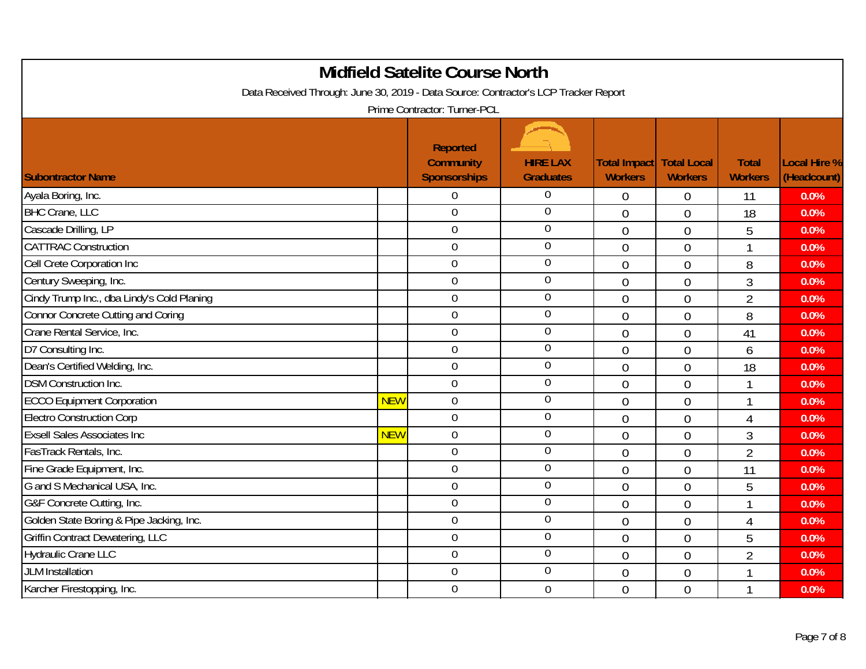| <b>Midfield Satelite Course North</b><br>Data Received Through: June 30, 2019 - Data Source: Contractor's LCP Tracker Report<br>Prime Contractor: Turner-PCL |            |                                                            |                                     |                                                   |                |                                |                             |  |  |
|--------------------------------------------------------------------------------------------------------------------------------------------------------------|------------|------------------------------------------------------------|-------------------------------------|---------------------------------------------------|----------------|--------------------------------|-----------------------------|--|--|
| <b>Subontractor Name</b>                                                                                                                                     |            | <b>Reported</b><br><b>Community</b><br><b>Sponsorships</b> | <b>HIRE LAX</b><br><b>Graduates</b> | <b>Total Impact Total Local</b><br><b>Workers</b> | <b>Workers</b> | <b>Total</b><br><b>Workers</b> | Local Hire %<br>(Headcount) |  |  |
| Ayala Boring, Inc.                                                                                                                                           |            | $\overline{0}$                                             | $\overline{0}$                      | $\overline{0}$                                    | $\overline{0}$ | 11                             | 0.0%                        |  |  |
| <b>BHC Crane, LLC</b>                                                                                                                                        |            | $\mathbf 0$                                                | $\overline{0}$                      | $\overline{0}$                                    | $\mathbf 0$    | 18                             | 0.0%                        |  |  |
| Cascade Drilling, LP                                                                                                                                         |            | $\mathbf 0$                                                | $\boldsymbol{0}$                    | $\overline{0}$                                    | $\overline{0}$ | 5                              | 0.0%                        |  |  |
| <b>CATTRAC Construction</b>                                                                                                                                  |            | $\overline{0}$                                             | $\mathbf 0$                         | $\overline{0}$                                    | $\overline{0}$ | 1                              | 0.0%                        |  |  |
| Cell Crete Corporation Inc                                                                                                                                   |            | $\mathbf 0$                                                | $\overline{0}$                      | $\overline{0}$                                    | $\mathbf 0$    | 8                              | 0.0%                        |  |  |
| Century Sweeping, Inc.                                                                                                                                       |            | $\overline{0}$                                             | $\overline{0}$                      | $\theta$                                          | $\overline{0}$ | $\mathfrak{Z}$                 | 0.0%                        |  |  |
| Cindy Trump Inc., dba Lindy's Cold Planing                                                                                                                   |            | $\overline{0}$                                             | $\mathbf 0$                         | $\overline{0}$                                    | $\overline{0}$ | $\overline{2}$                 | 0.0%                        |  |  |
| <b>Connor Concrete Cutting and Coring</b>                                                                                                                    |            | $\mathbf 0$                                                | $\overline{0}$                      | $\overline{0}$                                    | $\mathbf 0$    | 8                              | 0.0%                        |  |  |
| Crane Rental Service, Inc.                                                                                                                                   |            | $\overline{0}$                                             | $\boldsymbol{0}$                    | $\theta$                                          | $\mathbf 0$    | 41                             | 0.0%                        |  |  |
| D7 Consulting Inc.                                                                                                                                           |            | $\mathbf 0$                                                | $\mathbf 0$                         | $\overline{0}$                                    | $\overline{0}$ | 6                              | 0.0%                        |  |  |
| Dean's Certified Welding, Inc.                                                                                                                               |            | $\mathbf 0$                                                | $\mathbf 0$                         | $\overline{0}$                                    | $\overline{0}$ | 18                             | 0.0%                        |  |  |
| <b>DSM Construction Inc.</b>                                                                                                                                 |            | $\overline{0}$                                             | $\mathbf 0$                         | $\Omega$                                          | $\overline{0}$ | $\mathbf 1$                    | 0.0%                        |  |  |
| <b>ECCO Equipment Corporation</b>                                                                                                                            | <b>NEW</b> | $\mathbf 0$                                                | $\overline{0}$                      | $\overline{0}$                                    | $\overline{0}$ | $\mathbf 1$                    | 0.0%                        |  |  |
| <b>Electro Construction Corp</b>                                                                                                                             |            | $\overline{0}$                                             | $\mathbf 0$                         | $\overline{0}$                                    | $\mathbf 0$    | 4                              | 0.0%                        |  |  |
| <b>Exsell Sales Associates Inc.</b>                                                                                                                          | <b>NEW</b> | $\overline{0}$                                             | $\mathbf 0$                         | $\overline{0}$                                    | $\mathbf 0$    | $\mathfrak{Z}$                 | 0.0%                        |  |  |
| FasTrack Rentals, Inc.                                                                                                                                       |            | $\mathbf 0$                                                | $\mathbf 0$                         | $\overline{0}$                                    | $\overline{0}$ | $\overline{2}$                 | 0.0%                        |  |  |
| Fine Grade Equipment, Inc.                                                                                                                                   |            | $\overline{0}$                                             | $\overline{0}$                      | $\overline{0}$                                    | $\overline{0}$ | 11                             | 0.0%                        |  |  |
| G and S Mechanical USA, Inc.                                                                                                                                 |            | $\overline{0}$                                             | $\mathbf 0$                         | $\theta$                                          | $\overline{0}$ | 5                              | 0.0%                        |  |  |
| G&F Concrete Cutting, Inc.                                                                                                                                   |            | $\overline{0}$                                             | $\overline{0}$                      | $\overline{0}$                                    | $\overline{0}$ | $\mathbf{1}$                   | 0.0%                        |  |  |
| Golden State Boring & Pipe Jacking, Inc.                                                                                                                     |            | $\overline{0}$                                             | $\overline{0}$                      | $\overline{0}$                                    | $\mathbf 0$    | 4                              | 0.0%                        |  |  |
| <b>Griffin Contract Dewatering, LLC</b>                                                                                                                      |            | $\overline{0}$                                             | $\mathbf 0$                         | $\overline{0}$                                    | $\overline{0}$ | 5                              | 0.0%                        |  |  |
| <b>Hydraulic Crane LLC</b>                                                                                                                                   |            | $\overline{0}$                                             | $\mathbf 0$                         | $\theta$                                          | $\overline{0}$ | $\overline{2}$                 | 0.0%                        |  |  |
| <b>JLM</b> Installation                                                                                                                                      |            | $\mathbf 0$                                                | $\theta$                            | $\theta$                                          | $\mathbf 0$    | $\mathbf{1}$                   | 0.0%                        |  |  |
| Karcher Firestopping, Inc.                                                                                                                                   |            | $\mathbf 0$                                                | $\overline{0}$                      | $\theta$                                          | $\overline{0}$ | 1                              | 0.0%                        |  |  |